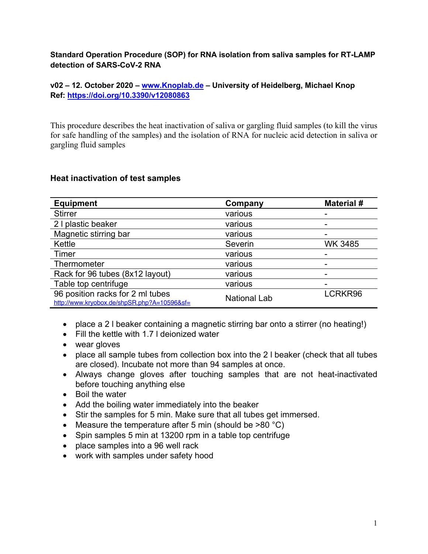### **Standard Operation Procedure (SOP) for RNA isolation from saliva samples for RT-LAMP detection of SARS-CoV-2 RNA**

### **v02 – 12. October 2020 – www.Knoplab.de – University of Heidelberg, Michael Knop Ref: https://doi.org/10.3390/v12080863**

This procedure describes the heat inactivation of saliva or gargling fluid samples (to kill the virus for safe handling of the samples) and the isolation of RNA for nucleic acid detection in saliva or gargling fluid samples

### **Heat inactivation of test samples**

| <b>Equipment</b>                                                                | Company             | <b>Material #</b> |
|---------------------------------------------------------------------------------|---------------------|-------------------|
| <b>Stirrer</b>                                                                  | various             |                   |
| 2 I plastic beaker                                                              | various             |                   |
| Magnetic stirring bar                                                           | various             |                   |
| Kettle                                                                          | Severin             | WK 3485           |
| Timer                                                                           | various             |                   |
| Thermometer                                                                     | various             |                   |
| Rack for 96 tubes (8x12 layout)                                                 | various             |                   |
| Table top centrifuge                                                            | various             |                   |
| 96 position racks for 2 ml tubes<br>http://www.kryobox.de/shpSR.php?A=10596&sf= | <b>National Lab</b> | LCRKR96           |

- place a 2 l beaker containing a magnetic stirring bar onto a stirrer (no heating!)
- Fill the kettle with 1.7 l deionized water
- wear gloves
- place all sample tubes from collection box into the 2 l beaker (check that all tubes are closed). Incubate not more than 94 samples at once.
- Always change gloves after touching samples that are not heat-inactivated before touching anything else
- Boil the water
- Add the boiling water immediately into the beaker
- Stir the samples for 5 min. Make sure that all tubes get immersed.
- Measure the temperature after 5 min (should be  $>80$  °C)
- Spin samples 5 min at 13200 rpm in a table top centrifuge
- place samples into a 96 well rack
- work with samples under safety hood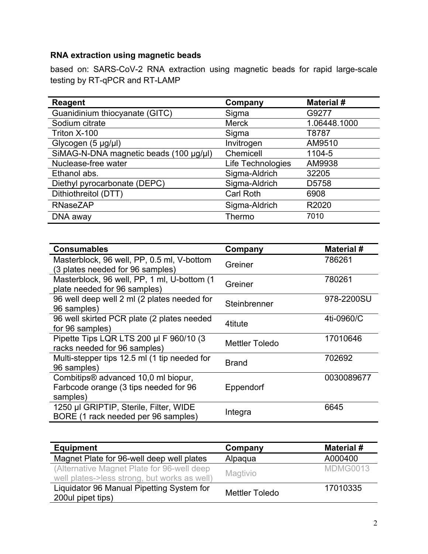# **RNA extraction using magnetic beads**

based on: SARS-CoV-2 RNA extraction using magnetic beads for rapid large-scale testing by RT-qPCR and RT-LAMP

| <b>Reagent</b>                         | Company           | <b>Material #</b> |
|----------------------------------------|-------------------|-------------------|
| Guanidinium thiocyanate (GITC)         | Sigma             | G9277             |
| Sodium citrate                         | <b>Merck</b>      | 1.06448.1000      |
| Triton X-100                           | Sigma             | T8787             |
| Glycogen $(5 \mu g/\mu l)$             | Invitrogen        | AM9510            |
| SiMAG-N-DNA magnetic beads (100 µg/µl) | Chemicell         | 1104-5            |
| Nuclease-free water                    | Life Technologies | AM9938            |
| Ethanol abs.                           | Sigma-Aldrich     | 32205             |
| Diethyl pyrocarbonate (DEPC)           | Sigma-Aldrich     | D5758             |
| Dithiothreitol (DTT)                   | <b>Carl Roth</b>  | 6908              |
| <b>RNaseZAP</b>                        | Sigma-Aldrich     | R2020             |
| DNA away                               | Thermo            | 7010              |

| <b>Consumables</b>                                                                       | Company               | <b>Material #</b> |
|------------------------------------------------------------------------------------------|-----------------------|-------------------|
| Masterblock, 96 well, PP, 0.5 ml, V-bottom<br>(3 plates needed for 96 samples)           | Greiner               | 786261            |
| Masterblock, 96 well, PP, 1 ml, U-bottom (1)<br>plate needed for 96 samples)             | Greiner               | 780261            |
| 96 well deep well 2 ml (2 plates needed for<br>96 samples)                               | Steinbrenner          | 978-2200SU        |
| 96 well skirted PCR plate (2 plates needed<br>for 96 samples)                            | 4titute               | 4ti-0960/C        |
| Pipette Tips LQR LTS 200 µl F 960/10 (3<br>racks needed for 96 samples)                  | <b>Mettler Toledo</b> | 17010646          |
| Multi-stepper tips 12.5 ml (1 tip needed for<br>96 samples)                              | <b>Brand</b>          | 702692            |
| Combitips® advanced 10,0 ml biopur,<br>Farbcode orange (3 tips needed for 96<br>samples) | Eppendorf             | 0030089677        |
| 1250 µl GRIPTIP, Sterile, Filter, WIDE<br>BORE (1 rack needed per 96 samples)            | Integra               | 6645              |

| <b>Equipment</b>                                                                           | Company               | <b>Material #</b> |
|--------------------------------------------------------------------------------------------|-----------------------|-------------------|
| Magnet Plate for 96-well deep well plates                                                  | Alpaqua               | A000400           |
| (Alternative Magnet Plate for 96-well deep<br>well plates->less strong, but works as well) | Magtivio              | <b>MDMG0013</b>   |
| Liquidator 96 Manual Pipetting System for<br>200ul pipet tips)                             | <b>Mettler Toledo</b> | 17010335          |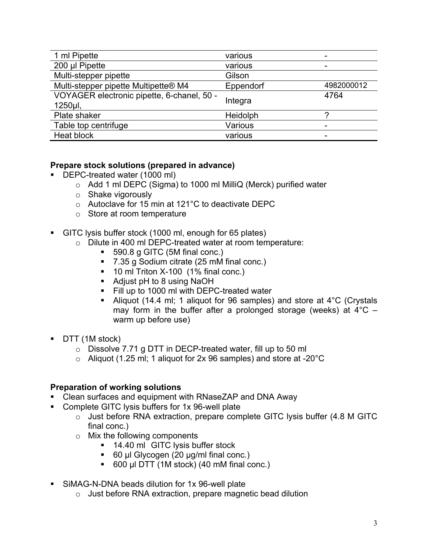| 1 ml Pipette                               | various   |            |
|--------------------------------------------|-----------|------------|
| 200 µl Pipette                             | various   |            |
| Multi-stepper pipette                      | Gilson    |            |
| Multi-stepper pipette Multipette® M4       | Eppendorf | 4982000012 |
| VOYAGER electronic pipette, 6-chanel, 50 - |           | 4764       |
|                                            |           |            |
| 1250µl,                                    | Integra   |            |
| Plate shaker                               | Heidolph  | o          |
| Table top centrifuge                       | Various   |            |
| Heat block                                 | various   | -          |

# **Prepare stock solutions (prepared in advance)**

- DEPC-treated water (1000 ml)
	- o Add 1 ml DEPC (Sigma) to 1000 ml MilliQ (Merck) purified water
	- o Shake vigorously
	- o Autoclave for 15 min at 121°C to deactivate DEPC
	- o Store at room temperature
- GITC lysis buffer stock (1000 ml, enough for 65 plates)
	- o Dilute in 400 ml DEPC-treated water at room temperature:
		- 590.8 g GITC (5M final conc.)
		- 7.35 g Sodium citrate (25 mM final conc.)
		- 10 ml Triton X-100 (1% final conc.)
		- Adjust pH to 8 using NaOH
		- Fill up to 1000 ml with DEPC-treated water
		- Aliquot (14.4 ml; 1 aliquot for 96 samples) and store at 4°C (Crystals may form in the buffer after a prolonged storage (weeks) at  $4^{\circ}$ C – warm up before use)
- DTT (1M stock)
	- o Dissolve 7.71 g DTT in DECP-treated water, fill up to 50 ml
	- $\circ$  Aliquot (1.25 ml; 1 aliquot for 2x 96 samples) and store at -20 $\degree$ C

### **Preparation of working solutions**

- Clean surfaces and equipment with RNaseZAP and DNA Away
- Complete GITC lysis buffers for 1x 96-well plate
	- o Just before RNA extraction, prepare complete GITC lysis buffer (4.8 M GITC final conc.)
	- o Mix the following components
		- 14.40 ml GITC lysis buffer stock
		- 60 µl Glycogen (20 µg/ml final conc.)
		- 600 µl DTT (1M stock) (40 mM final conc.)
- SiMAG-N-DNA beads dilution for 1x 96-well plate
	- o Just before RNA extraction, prepare magnetic bead dilution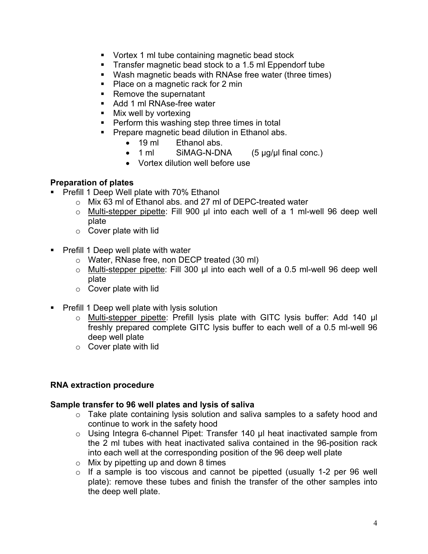- Vortex 1 ml tube containing magnetic bead stock
- Transfer magnetic bead stock to a 1.5 ml Eppendorf tube
- Wash magnetic beads with RNAse free water (three times)
- Place on a magnetic rack for 2 min
- Remove the supernatant
- Add 1 ml RNAse-free water
- Mix well by vortexing
- Perform this washing step three times in total
- Prepare magnetic bead dilution in Ethanol abs.
	- 19 ml Ethanol abs.
	- 1 ml SiMAG-N-DNA (5 µg/µl final conc.)
	- Vortex dilution well before use

## **Preparation of plates**

- Prefill 1 Deep Well plate with 70% Ethanol
	- o Mix 63 ml of Ethanol abs. and 27 ml of DEPC-treated water
	- o Multi-stepper pipette: Fill 900 µl into each well of a 1 ml-well 96 deep well plate
	- o Cover plate with lid
- Prefill 1 Deep well plate with water
	- o Water, RNase free, non DECP treated (30 ml)
	- o Multi-stepper pipette: Fill 300 µl into each well of a 0.5 ml-well 96 deep well plate
	- o Cover plate with lid
- Prefill 1 Deep well plate with lysis solution
	- o Multi-stepper pipette: Prefill lysis plate with GITC lysis buffer: Add 140 µl freshly prepared complete GITC lysis buffer to each well of a 0.5 ml-well 96 deep well plate
	- o Cover plate with lid

# **RNA extraction procedure**

### **Sample transfer to 96 well plates and lysis of saliva**

- o Take plate containing lysis solution and saliva samples to a safety hood and continue to work in the safety hood
- o Using Integra 6-channel Pipet: Transfer 140 µl heat inactivated sample from the 2 ml tubes with heat inactivated saliva contained in the 96-position rack into each well at the corresponding position of the 96 deep well plate
- $\circ$  Mix by pipetting up and down 8 times
- $\circ$  If a sample is too viscous and cannot be pipetted (usually 1-2 per 96 well plate): remove these tubes and finish the transfer of the other samples into the deep well plate.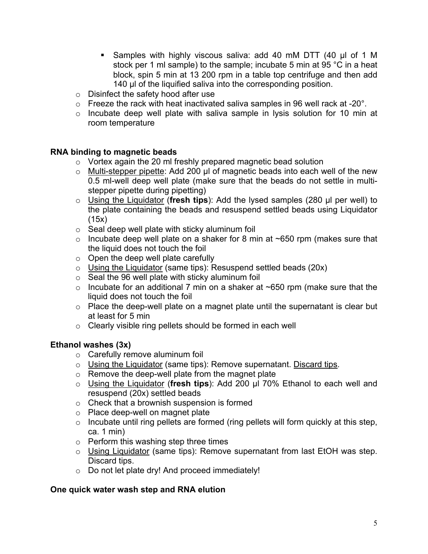- § Samples with highly viscous saliva: add 40 mM DTT (40 µl of 1 M stock per 1 ml sample) to the sample; incubate 5 min at 95 °C in a heat block, spin 5 min at 13 200 rpm in a table top centrifuge and then add 140 µl of the liquified saliva into the corresponding position.
- o Disinfect the safety hood after use
- $\circ$  Freeze the rack with heat inactivated saliva samples in 96 well rack at -20 $^{\circ}$ .
- o Incubate deep well plate with saliva sample in lysis solution for 10 min at room temperature

#### **RNA binding to magnetic beads**

- o Vortex again the 20 ml freshly prepared magnetic bead solution
- o Multi-stepper pipette: Add 200 µl of magnetic beads into each well of the new 0.5 ml-well deep well plate (make sure that the beads do not settle in multistepper pipette during pipetting)
- o Using the Liquidator (**fresh tips**): Add the lysed samples (280 µl per well) to the plate containing the beads and resuspend settled beads using Liquidator (15x)
- $\circ$  Seal deep well plate with sticky aluminum foil
- $\circ$  Incubate deep well plate on a shaker for 8 min at ~650 rpm (makes sure that the liquid does not touch the foil
- o Open the deep well plate carefully
- $\circ$  Using the Liquidator (same tips): Resuspend settled beads (20x)
- o Seal the 96 well plate with sticky aluminum foil
- $\circ$  Incubate for an additional 7 min on a shaker at ~650 rpm (make sure that the liquid does not touch the foil
- $\circ$  Place the deep-well plate on a magnet plate until the supernatant is clear but at least for 5 min
- o Clearly visible ring pellets should be formed in each well

### **Ethanol washes (3x)**

- o Carefully remove aluminum foil
- o Using the Liquidator (same tips): Remove supernatant. Discard tips.
- $\circ$  Remove the deep-well plate from the magnet plate
- o Using the Liquidator (**fresh tips**): Add 200 µl 70% Ethanol to each well and resuspend (20x) settled beads
- o Check that a brownish suspension is formed
- o Place deep-well on magnet plate
- o Incubate until ring pellets are formed (ring pellets will form quickly at this step, ca. 1 min)
- o Perform this washing step three times
- o Using Liquidator (same tips): Remove supernatant from last EtOH was step. Discard tips.
- o Do not let plate dry! And proceed immediately!

#### **One quick water wash step and RNA elution**